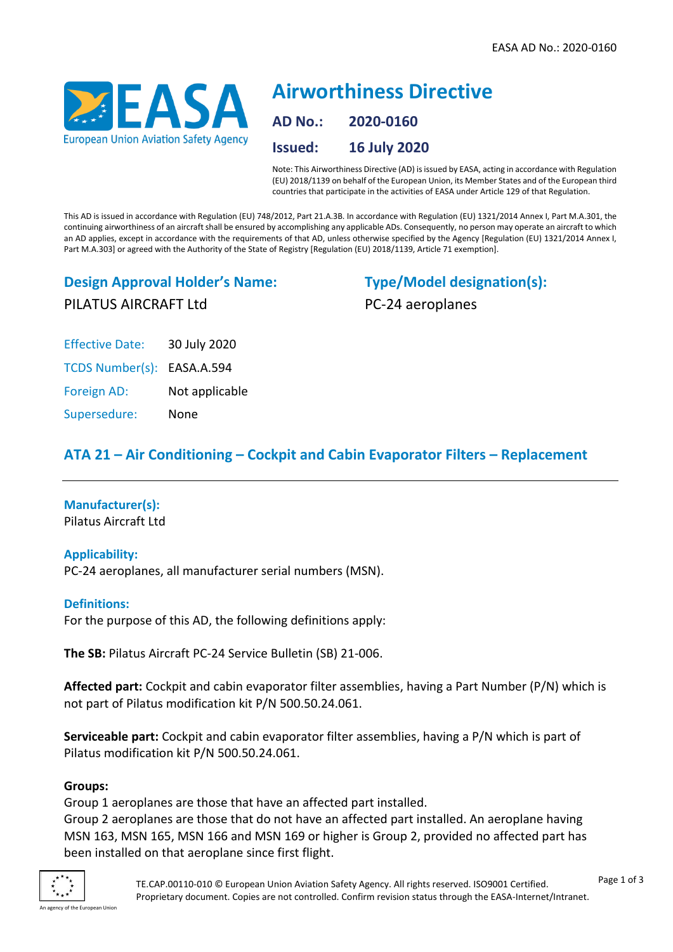

# **Airworthiness Directive AD No.: 2020-0160 Issued: 16 July 2020**

Note: This Airworthiness Directive (AD) is issued by EASA, acting in accordance with Regulation (EU) 2018/1139 on behalf of the European Union, its Member States and of the European third countries that participate in the activities of EASA under Article 129 of that Regulation.

This AD is issued in accordance with Regulation (EU) 748/2012, Part 21.A.3B. In accordance with Regulation (EU) 1321/2014 Annex I, Part M.A.301, the continuing airworthiness of an aircraft shall be ensured by accomplishing any applicable ADs. Consequently, no person may operate an aircraft to which an AD applies, except in accordance with the requirements of that AD, unless otherwise specified by the Agency [Regulation (EU) 1321/2014 Annex I, Part M.A.303] or agreed with the Authority of the State of Registry [Regulation (EU) 2018/1139, Article 71 exemption].

### **Design Approval Holder's Name:** PILATUS AIRCRAFT Ltd

**Type/Model designation(s):** PC-24 aeroplanes

Effective Date: 30 July 2020 TCDS Number(s): EASA.A.594 Foreign AD: Not applicable Supersedure: None

## **ATA 21 – Air Conditioning – Cockpit and Cabin Evaporator Filters – Replacement**

# **Manufacturer(s):**

Pilatus Aircraft Ltd

#### **Applicability:**

PC-24 aeroplanes, all manufacturer serial numbers (MSN).

#### **Definitions:**

For the purpose of this AD, the following definitions apply:

**The SB:** Pilatus Aircraft PC-24 Service Bulletin (SB) 21-006.

**Affected part:** Cockpit and cabin evaporator filter assemblies, having a Part Number (P/N) which is not part of Pilatus modification kit P/N 500.50.24.061.

**Serviceable part:** Cockpit and cabin evaporator filter assemblies, having a P/N which is part of Pilatus modification kit P/N 500.50.24.061.

#### **Groups:**

Group 1 aeroplanes are those that have an affected part installed.

Group 2 aeroplanes are those that do not have an affected part installed. An aeroplane having MSN 163, MSN 165, MSN 166 and MSN 169 or higher is Group 2, provided no affected part has been installed on that aeroplane since first flight.

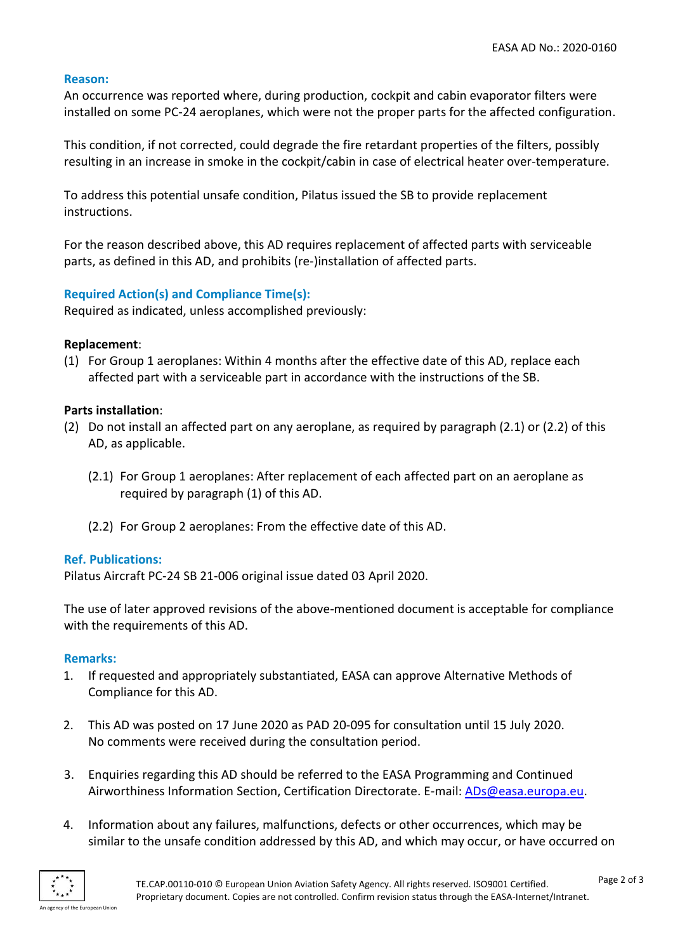#### **Reason:**

An occurrence was reported where, during production, cockpit and cabin evaporator filters were installed on some PC-24 aeroplanes, which were not the proper parts for the affected configuration.

This condition, if not corrected, could degrade the fire retardant properties of the filters, possibly resulting in an increase in smoke in the cockpit/cabin in case of electrical heater over-temperature.

To address this potential unsafe condition, Pilatus issued the SB to provide replacement instructions.

For the reason described above, this AD requires replacement of affected parts with serviceable parts, as defined in this AD, and prohibits (re-)installation of affected parts.

#### **Required Action(s) and Compliance Time(s):**

Required as indicated, unless accomplished previously:

#### **Replacement**:

(1) For Group 1 aeroplanes: Within 4 months after the effective date of this AD, replace each affected part with a serviceable part in accordance with the instructions of the SB.

#### **Parts installation**:

- (2) Do not install an affected part on any aeroplane, as required by paragraph (2.1) or (2.2) of this AD, as applicable.
	- (2.1) For Group 1 aeroplanes: After replacement of each affected part on an aeroplane as required by paragraph (1) of this AD.
	- (2.2) For Group 2 aeroplanes: From the effective date of this AD.

#### **Ref. Publications:**

Pilatus Aircraft PC-24 SB 21-006 original issue dated 03 April 2020.

The use of later approved revisions of the above-mentioned document is acceptable for compliance with the requirements of this AD.

#### **Remarks:**

- 1. If requested and appropriately substantiated, EASA can approve Alternative Methods of Compliance for this AD.
- 2. This AD was posted on 17 June 2020 as PAD 20-095 for consultation until 15 July 2020. No comments were received during the consultation period.
- 3. Enquiries regarding this AD should be referred to the EASA Programming and Continued Airworthiness Information Section, Certification Directorate. E-mail: [ADs@easa.europa.eu.](mailto:ADs@easa.europa.eu)
- 4. Information about any failures, malfunctions, defects or other occurrences, which may be similar to the unsafe condition addressed by this AD, and which may occur, or have occurred on